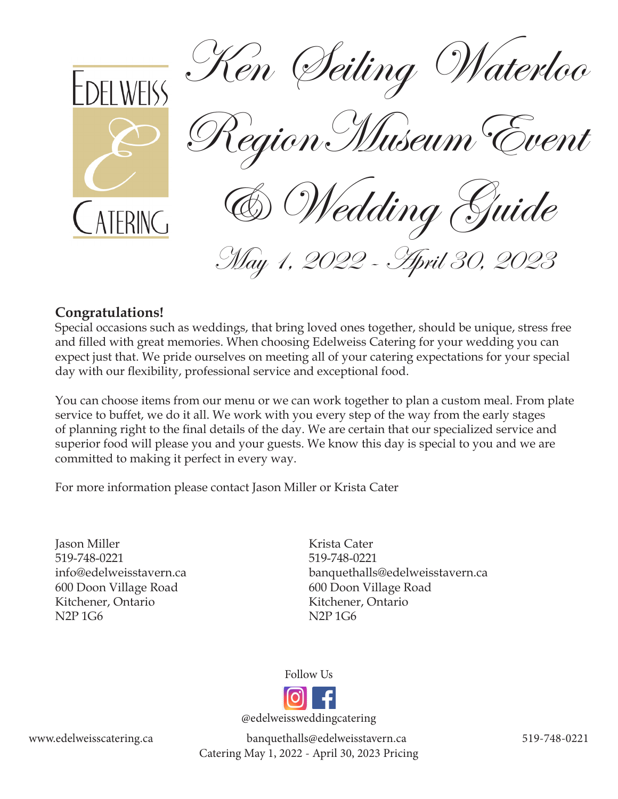

# **Congratulations!**

Special occasions such as weddings, that bring loved ones together, should be unique, stress free and filled with great memories. When choosing Edelweiss Catering for your wedding you can expect just that. We pride ourselves on meeting all of your catering expectations for your special day with our flexibility, professional service and exceptional food.

You can choose items from our menu or we can work together to plan a custom meal. From plate service to buffet, we do it all. We work with you every step of the way from the early stages of planning right to the final details of the day. We are certain that our specialized service and superior food will please you and your guests. We know this day is special to you and we are committed to making it perfect in every way.

For more information please contact Jason Miller or Krista Cater

Jason Miller 519-748-0221 info@edelweisstavern.ca 600 Doon Village Road Kitchener, Ontario N2P 1G6

Krista Cater 519-748-0221 banquethalls@edelweisstavern.ca 600 Doon Village Road Kitchener, Ontario N2P 1G6



@edelweissweddingcatering

www.edelweisscatering.ca banquethalls@edelweisstavern.ca 519-748-0221 Catering May 1, 2022 - April 30, 2023 Pricing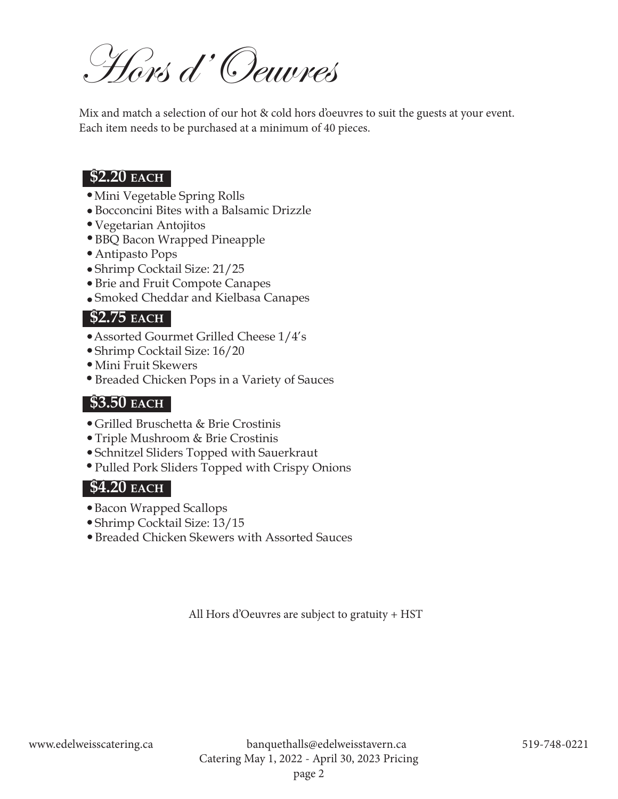Hors d'Oeuvres

Mix and match a selection of our hot & cold hors d'oeuvres to suit the guests at your event. Each item needs to be purchased at a minimum of 40 pieces.

# **\$2.20 each**

- Mini Vegetable Spring Rolls
- Bocconcini Bites with a Balsamic Drizzle
- Vegetarian Antojitos
- BBQ Bacon Wrapped Pineapple
- Antipasto Pops
- Shrimp Cocktail Size: 21/25
- Brie and Fruit Compote Canapes
- Smoked Cheddar and Kielbasa Canapes

# **\$2.75 each**

- Assorted Gourmet Grilled Cheese 1/4's
- Shrimp Cocktail Size: 16/20
- Mini Fruit Skewers
- Breaded Chicken Pops in a Variety of Sauces

### **\$3.50 each**

- Grilled Bruschetta & Brie Crostinis
- Triple Mushroom & Brie Crostinis
- Schnitzel Sliders Topped with Sauerkraut
- Pulled Pork Sliders Topped with Crispy Onions

# **\$4.20 each**

- Bacon Wrapped Scallops
- Shrimp Cocktail Size: 13/15
- Breaded Chicken Skewers with Assorted Sauces

All Hors d'Oeuvres are subject to gratuity + HST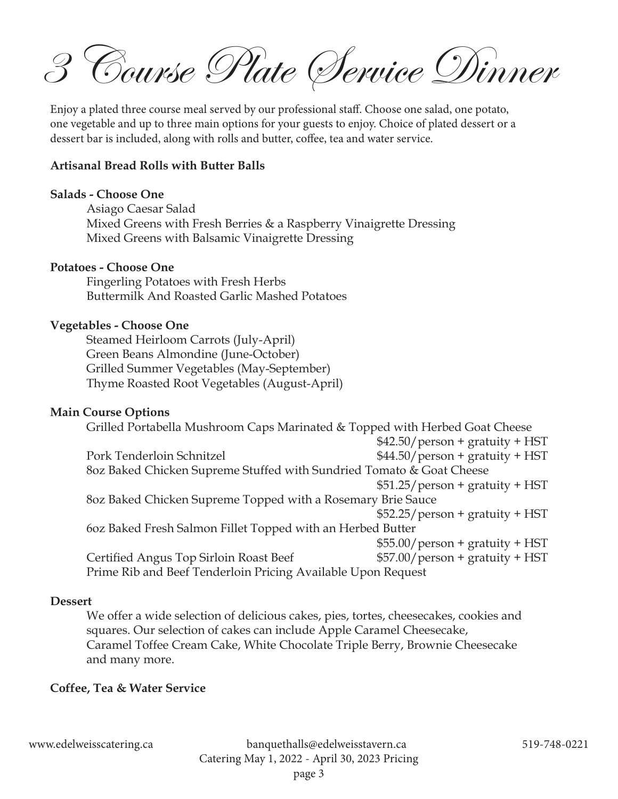3 Course Plate Service Dinner

Enjoy a plated three course meal served by our professional staff. Choose one salad, one potato, one vegetable and up to three main options for your guests to enjoy. Choice of plated dessert or a dessert bar is included, along with rolls and butter, coffee, tea and water service.

#### **Artisanal Bread Rolls with Butter Balls**

#### **Salads - Choose One**

Asiago Caesar Salad Mixed Greens with Fresh Berries & a Raspberry Vinaigrette Dressing Mixed Greens with Balsamic Vinaigrette Dressing

#### **Potatoes - Choose One**

Fingerling Potatoes with Fresh Herbs Buttermilk And Roasted Garlic Mashed Potatoes

#### **Vegetables - Choose One**

Steamed Heirloom Carrots (July-April) Green Beans Almondine (June-October) Grilled Summer Vegetables (May-September) Thyme Roasted Root Vegetables (August-April)

#### **Main Course Options**

Grilled Portabella Mushroom Caps Marinated & Topped with Herbed Goat Cheese  $$42.50/$  person + gratuity + HST Pork Tenderloin Schnitzel  $$44.50/person + gravity + HST$ 8oz Baked Chicken Supreme Stuffed with Sundried Tomato & Goat Cheese  $$51.25/person + gravity + HST$ 8oz Baked Chicken Supreme Topped with a Rosemary Brie Sauce  $$52.25/person + gravity + HST$ 6oz Baked Fresh Salmon Fillet Topped with an Herbed Butter \$55.00/person + gratuity + HST Certified Angus Top Sirloin Roast Beef  $$57.00/person + gravity + HST$ Prime Rib and Beef Tenderloin Pricing Available Upon Request

#### **Dessert**

We offer a wide selection of delicious cakes, pies, tortes, cheesecakes, cookies and squares. Our selection of cakes can include Apple Caramel Cheesecake, Caramel Toffee Cream Cake, White Chocolate Triple Berry, Brownie Cheesecake and many more.

#### **Coffee, Tea & Water Service**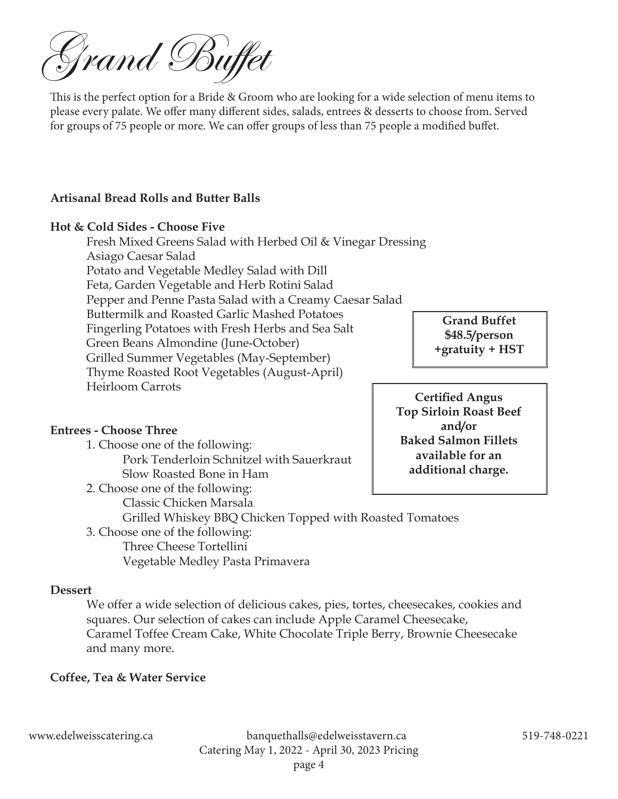Grand Buffet

This is the perfect option for a Bride & Groom who are looking for a wide selection of menu items to please every palate. We offer many different sides, salads, entrees & desserts to choose from. Served for groups of 75 people or more. We can offer groups of less than 75 people a modified buffet.

#### **Artisanal Bread Rolls and Butter Balls**

#### **Hot & Cold Sides - Choose Five**

Fresh Mixed Greens Salad with Herbed Oil & Vinegar Dressing Asiago Caesar Salad Potato and Vegetable Medley Salad with Dill Feta, Garden Vegetable and Herb Rotini Salad Pepper and Penne Pasta Salad with a Creamy Caesar Salad Buttermilk and Roasted Garlic Mashed Potatoes Fingerling Potatoes with Fresh Herbs and Sea Salt Green Beans Almondine (June-October) Grilled Summer Vegetables (May-September) Thyme Roasted Root Vegetables (August-April) Heirloom Carrots

### **Entrees - Choose Three**

- 1. Choose one of the following: Pork Tenderloin Schnitzel with Sauerkraut Slow Roasted Bone in Ham
- 2. Choose one of the following: Classic Chicken Marsala Grilled Whiskey BBQ Chicken Topped with Roasted Tomatoes

3. Choose one of the following: Three Cheese Tortellini Vegetable Medley Pasta Primavera

#### **Dessert**

We offer a wide selection of delicious cakes, pies, tortes, cheesecakes, cookies and squares. Our selection of cakes can include Apple Caramel Cheesecake, Caramel Toffee Cream Cake, White Chocolate Triple Berry, Brownie Cheesecake and many more.

### **Coffee, Tea & Water Service**

**Grand Buffet \$48.5/person +gratuity + HST**

**Certified Angus Top Sirloin Roast Beef and/or Baked Salmon Fillets available for an additional charge.**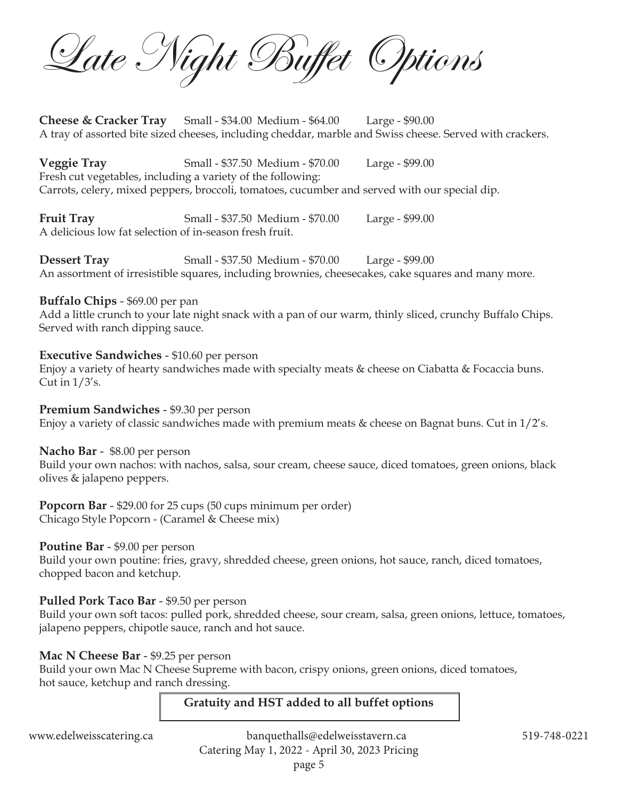Late Night Buffet Options

**Cheese & Cracker Tray** Small - \$34.00 Medium - \$64.00 Large - \$90.00 A tray of assorted bite sized cheeses, including cheddar, marble and Swiss cheese. Served with crackers.

**Veggie Tray** Small - \$37.50 Medium - \$70.00 Large - \$99.00 Fresh cut vegetables, including a variety of the following: Carrots, celery, mixed peppers, broccoli, tomatoes, cucumber and served with our special dip.

**Fruit Tray** Small - \$37.50 Medium - \$70.00 Large - \$99.00 A delicious low fat selection of in-season fresh fruit.

**Dessert Tray** Small - \$37.50 Medium - \$70.00 Large - \$99.00 An assortment of irresistible squares, including brownies, cheesecakes, cake squares and many more.

#### **Buffalo Chips** - \$69.00 per pan

Add a little crunch to your late night snack with a pan of our warm, thinly sliced, crunchy Buffalo Chips. Served with ranch dipping sauce.

### **Executive Sandwiches** - \$10.60 per person

Enjoy a variety of hearty sandwiches made with specialty meats & cheese on Ciabatta & Focaccia buns. Cut in  $1/3$ 's.

### **Premium Sandwiches** - \$9.30 per person

Enjoy a variety of classic sandwiches made with premium meats & cheese on Bagnat buns. Cut in 1/2's.

**Nacho Bar** - \$8.00 per person

Build your own nachos: with nachos, salsa, sour cream, cheese sauce, diced tomatoes, green onions, black olives & jalapeno peppers.

**Popcorn Bar** - \$29.00 for 25 cups (50 cups minimum per order) Chicago Style Popcorn - (Caramel & Cheese mix)

### **Poutine Bar** - \$9.00 per person

Build your own poutine: fries, gravy, shredded cheese, green onions, hot sauce, ranch, diced tomatoes, chopped bacon and ketchup.

### **Pulled Pork Taco Bar** - \$9.50 per person

Build your own soft tacos: pulled pork, shredded cheese, sour cream, salsa, green onions, lettuce, tomatoes, jalapeno peppers, chipotle sauce, ranch and hot sauce.

### **Mac N Cheese Bar - \$9.25 per person**

Build your own Mac N Cheese Supreme with bacon, crispy onions, green onions, diced tomatoes, hot sauce, ketchup and ranch dressing.

## **Gratuity and HST added to all buffet options**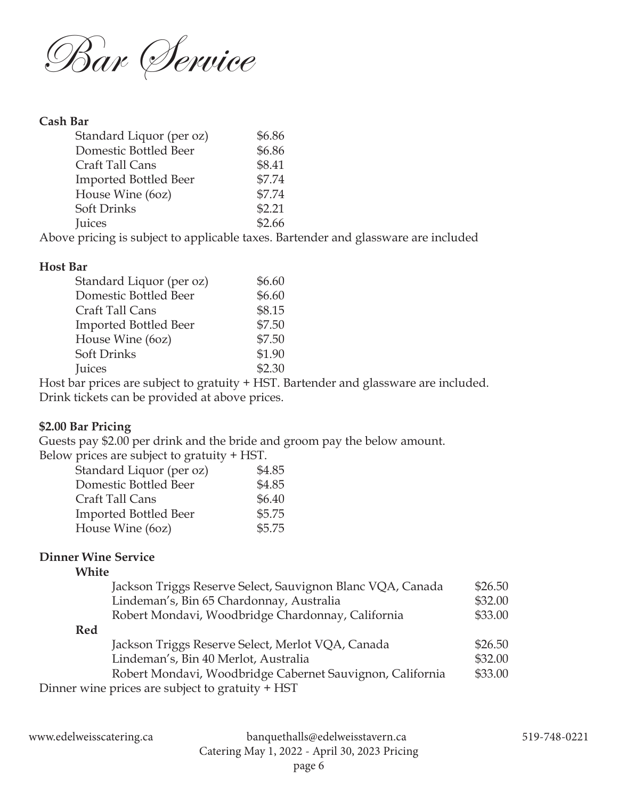

#### **Cash Bar**

| \$6.86 |
|--------|
| \$6.86 |
| \$8.41 |
| \$7.74 |
| \$7.74 |
| \$2.21 |
| \$2.66 |
|        |

Above pricing is subject to applicable taxes. Bartender and glassware are included

#### **Host Bar**

| Standard Liquor (per oz) | \$6.60 |
|--------------------------|--------|
| Domestic Bottled Beer    | \$6.60 |
| Craft Tall Cans          | \$8.15 |
| Imported Bottled Beer    | \$7.50 |
| House Wine (60z)         | \$7.50 |
| Soft Drinks              | \$1.90 |
| Juices                   | \$2.30 |
|                          |        |

Host bar prices are subject to gratuity + HST. Bartender and glassware are included. Drink tickets can be provided at above prices.

### **\$2.00 Bar Pricing**

Guests pay \$2.00 per drink and the bride and groom pay the below amount.

Below prices are subject to gratuity + HST.

| Standard Liquor (per oz)     | \$4.85 |
|------------------------------|--------|
| Domestic Bottled Beer        | \$4.85 |
| Craft Tall Cans              | \$6.40 |
| <b>Imported Bottled Beer</b> | \$5.75 |
| House Wine (60z)             | \$5.75 |

### **Dinner Wine Service**

# **White**

| Jackson Triggs Reserve Select, Sauvignon Blanc VQA, Canada | \$26.50 |
|------------------------------------------------------------|---------|
| Lindeman's, Bin 65 Chardonnay, Australia                   | \$32.00 |
| Robert Mondavi, Woodbridge Chardonnay, California          | \$33.00 |
| <b>Red</b>                                                 |         |
| Jackson Triggs Reserve Select, Merlot VQA, Canada          | \$26.50 |
| Lindeman's, Bin 40 Merlot, Australia                       | \$32.00 |
| Robert Mondavi, Woodbridge Cabernet Sauvignon, California  | \$33.00 |
| Dinner wine prices are subject to gratuity + HST           |         |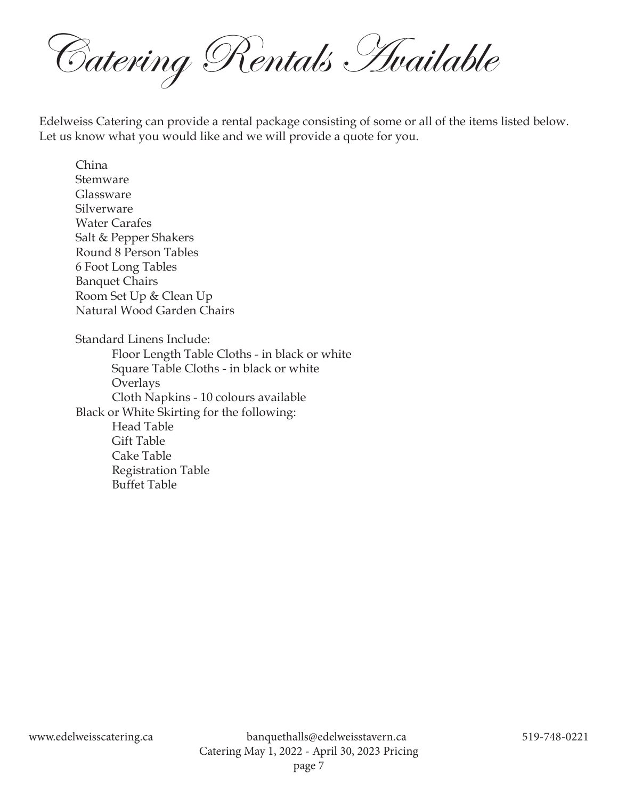Catering Rentals Available

Edelweiss Catering can provide a rental package consisting of some or all of the items listed below. Let us know what you would like and we will provide a quote for you.

China Stemware Glassware Silverware Water Carafes Salt & Pepper Shakers Round 8 Person Tables 6 Foot Long Tables Banquet Chairs Room Set Up & Clean Up Natural Wood Garden Chairs Standard Linens Include: Floor Length Table Cloths - in black or white Square Table Cloths - in black or white Overlays Cloth Napkins - 10 colours available Black or White Skirting for the following: Head Table Gift Table Cake Table Registration Table Buffet Table